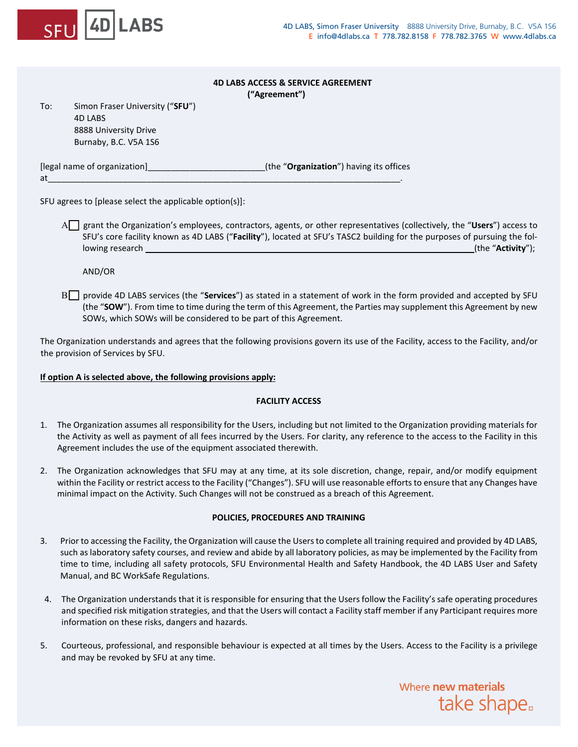

# **4D LABS ACCESS & SERVICE AGREEMENT**

 **("Agreement")**

To: Simon Fraser University ("**SFU**") 4D LABS 8888 University Drive Burnaby, B.C. V5A 1S6

[legal name of organization]\_\_\_\_\_\_\_\_\_\_\_\_\_\_\_\_\_\_\_\_\_\_\_\_\_(the "**Organization**") having its offices at\_\_\_\_\_\_\_\_\_\_\_\_\_\_\_\_\_\_\_\_\_\_\_\_\_\_\_\_\_\_\_\_\_\_\_\_\_\_\_\_\_\_\_\_\_\_\_\_\_\_\_\_\_\_\_\_\_\_\_\_\_\_\_\_\_\_\_\_\_\_\_\_\_\_\_.

SFU agrees to [please select the applicable option(s)]:

A<sub>□</sub> grant the Organization's employees, contractors, agents, or other representatives (collectively, the "Users") access to SFU's core facility known as 4D LABS ("**Facility**"), located at SFU's TASC2 building for the purposes of pursuing the following research \_\_\_\_\_\_\_\_\_\_\_\_\_\_\_\_\_\_\_\_\_\_\_\_\_\_\_\_\_\_\_\_\_\_\_\_\_\_\_\_\_\_\_\_\_\_\_\_\_(the "**Activity**");

AND/OR

Β provide 4D LABS services (the "**Services**") as stated in a statement of work in the form provided and accepted by SFU (the "**SOW**"). From time to time during the term of this Agreement, the Parties may supplement this Agreement by new SOWs, which SOWs will be considered to be part of this Agreement.

The Organization understands and agrees that the following provisions govern its use of the Facility, access to the Facility, and/or the provision of Services by SFU.

# **If option A is selected above, the following provisions apply:**

# **FACILITY ACCESS**

- 1. The Organization assumes all responsibility for the Users, including but not limited to the Organization providing materials for the Activity as well as payment of all fees incurred by the Users. For clarity, any reference to the access to the Facility in this Agreement includes the use of the equipment associated therewith.
- 2. The Organization acknowledges that SFU may at any time, at its sole discretion, change, repair, and/or modify equipment within the Facility or restrict access to the Facility ("Changes"). SFU will use reasonable efforts to ensure that any Changes have minimal impact on the Activity. Such Changes will not be construed as a breach of this Agreement.

# **POLICIES, PROCEDURES AND TRAINING**

- 3. Prior to accessing the Facility, the Organization will cause the Usersto complete all training required and provided by 4D LABS, such as laboratory safety courses, and review and abide by all laboratory policies, as may be implemented by the Facility from time to time, including all safety protocols, SFU Environmental Health and Safety Handbook, the 4D LABS User and Safety Manual, and BC WorkSafe Regulations.
- 4. The Organization understands that it is responsible for ensuring that the Users follow the Facility's safe operating procedures and specified risk mitigation strategies, and that the Users will contact a Facility staff member if any Participant requires more information on these risks, dangers and hazards.
- 5. Courteous, professional, and responsible behaviour is expected at all times by the Users. Access to the Facility is a privilege and may be revoked by SFU at any time.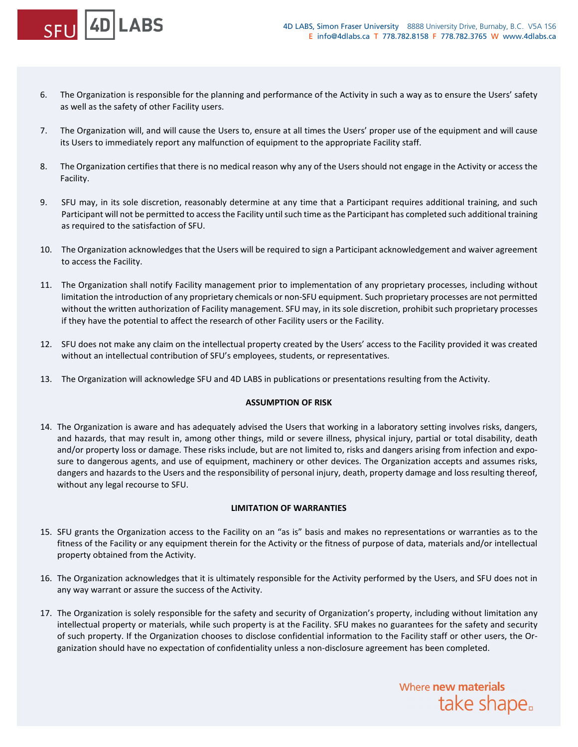

6. The Organization is responsible for the planning and performance of the Activity in such a way as to ensure the Users' safety as well as the safety of other Facility users.

**4DILABS** 

- 7. The Organization will, and will cause the Users to, ensure at all times the Users' proper use of the equipment and will cause its Users to immediately report any malfunction of equipment to the appropriate Facility staff.
- 8. The Organization certifies that there is no medical reason why any of the Users should not engage in the Activity or access the Facility.
- 9. SFU may, in its sole discretion, reasonably determine at any time that a Participant requires additional training, and such Participant will not be permitted to access the Facility until such time as the Participant has completed such additional training as required to the satisfaction of SFU.
- 10. The Organization acknowledges that the Users will be required to sign a Participant acknowledgement and waiver agreement to access the Facility.
- 11. The Organization shall notify Facility management prior to implementation of any proprietary processes, including without limitation the introduction of any proprietary chemicals or non-SFU equipment. Such proprietary processes are not permitted without the written authorization of Facility management. SFU may, in its sole discretion, prohibit such proprietary processes if they have the potential to affect the research of other Facility users or the Facility.
- 12. SFU does not make any claim on the intellectual property created by the Users' access to the Facility provided it was created without an intellectual contribution of SFU's employees, students, or representatives.
- 13. The Organization will acknowledge SFU and 4D LABS in publications or presentations resulting from the Activity.

#### **ASSUMPTION OF RISK**

14. The Organization is aware and has adequately advised the Users that working in a laboratory setting involves risks, dangers, and hazards, that may result in, among other things, mild or severe illness, physical injury, partial or total disability, death and/or property loss or damage. These risks include, but are not limited to, risks and dangers arising from infection and exposure to dangerous agents, and use of equipment, machinery or other devices. The Organization accepts and assumes risks, dangers and hazards to the Users and the responsibility of personal injury, death, property damage and loss resulting thereof, without any legal recourse to SFU.

#### **LIMITATION OF WARRANTIES**

- 15. SFU grants the Organization access to the Facility on an "as is" basis and makes no representations or warranties as to the fitness of the Facility or any equipment therein for the Activity or the fitness of purpose of data, materials and/or intellectual property obtained from the Activity.
- 16. The Organization acknowledges that it is ultimately responsible for the Activity performed by the Users, and SFU does not in any way warrant or assure the success of the Activity.
- 17. The Organization is solely responsible for the safety and security of Organization's property, including without limitation any intellectual property or materials, while such property is at the Facility. SFU makes no guarantees for the safety and security of such property. If the Organization chooses to disclose confidential information to the Facility staff or other users, the Organization should have no expectation of confidentiality unless a non-disclosure agreement has been completed.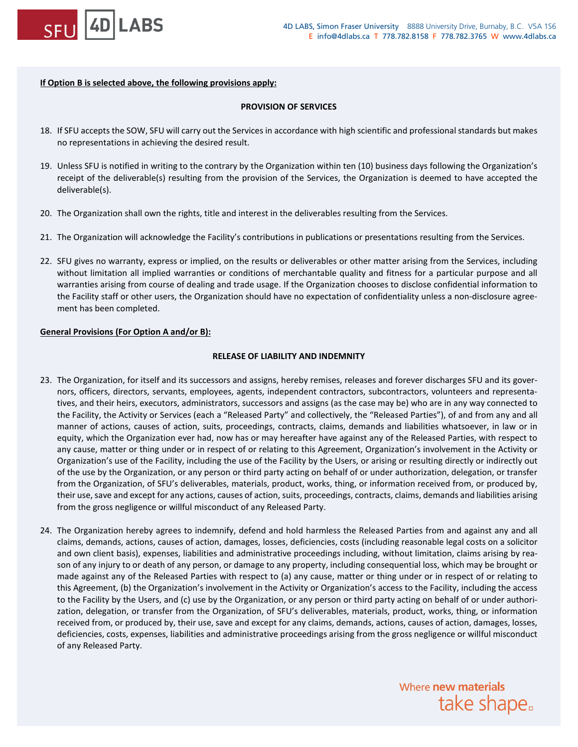

# **If Option B is selected above, the following provisions apply:**

# **PROVISION OF SERVICES**

- 18. If SFU accepts the SOW, SFU will carry out the Services in accordance with high scientific and professional standards but makes no representations in achieving the desired result.
- 19. Unless SFU is notified in writing to the contrary by the Organization within ten (10) business days following the Organization's receipt of the deliverable(s) resulting from the provision of the Services, the Organization is deemed to have accepted the deliverable(s).
- 20. The Organization shall own the rights, title and interest in the deliverables resulting from the Services.
- 21. The Organization will acknowledge the Facility's contributions in publications or presentations resulting from the Services.
- 22. SFU gives no warranty, express or implied, on the results or deliverables or other matter arising from the Services, including without limitation all implied warranties or conditions of merchantable quality and fitness for a particular purpose and all warranties arising from course of dealing and trade usage. If the Organization chooses to disclose confidential information to the Facility staff or other users, the Organization should have no expectation of confidentiality unless a non-disclosure agreement has been completed.

# **General Provisions (For Option A and/or B):**

# **RELEASE OF LIABILITY AND INDEMNITY**

- 23. The Organization, for itself and its successors and assigns, hereby remises, releases and forever discharges SFU and its governors, officers, directors, servants, employees, agents, independent contractors, subcontractors, volunteers and representatives, and their heirs, executors, administrators, successors and assigns (as the case may be) who are in any way connected to the Facility, the Activity or Services (each a "Released Party" and collectively, the "Released Parties"), of and from any and all manner of actions, causes of action, suits, proceedings, contracts, claims, demands and liabilities whatsoever, in law or in equity, which the Organization ever had, now has or may hereafter have against any of the Released Parties, with respect to any cause, matter or thing under or in respect of or relating to this Agreement, Organization's involvement in the Activity or Organization's use of the Facility, including the use of the Facility by the Users, or arising or resulting directly or indirectly out of the use by the Organization, or any person or third party acting on behalf of or under authorization, delegation, or transfer from the Organization, of SFU's deliverables, materials, product, works, thing, or information received from, or produced by, their use, save and except for any actions, causes of action, suits, proceedings, contracts, claims, demands and liabilities arising from the gross negligence or willful misconduct of any Released Party.
- 24. The Organization hereby agrees to indemnify, defend and hold harmless the Released Parties from and against any and all claims, demands, actions, causes of action, damages, losses, deficiencies, costs (including reasonable legal costs on a solicitor and own client basis), expenses, liabilities and administrative proceedings including, without limitation, claims arising by reason of any injury to or death of any person, or damage to any property, including consequential loss, which may be brought or made against any of the Released Parties with respect to (a) any cause, matter or thing under or in respect of or relating to this Agreement, (b) the Organization's involvement in the Activity or Organization's access to the Facility, including the access to the Facility by the Users, and (c) use by the Organization, or any person or third party acting on behalf of or under authorization, delegation, or transfer from the Organization, of SFU's deliverables, materials, product, works, thing, or information received from, or produced by, their use, save and except for any claims, demands, actions, causes of action, damages, losses, deficiencies, costs, expenses, liabilities and administrative proceedings arising from the gross negligence or willful misconduct of any Released Party.